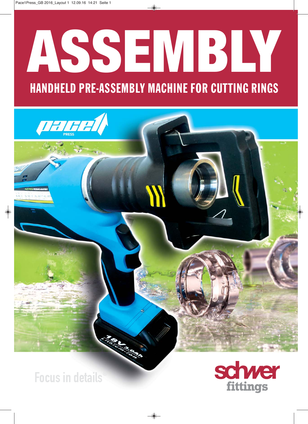## **ASSEMBLY** HANDHELD PRE-ASSEMBLY MACHINE FOR CUTTING RINGS

Focus in details®

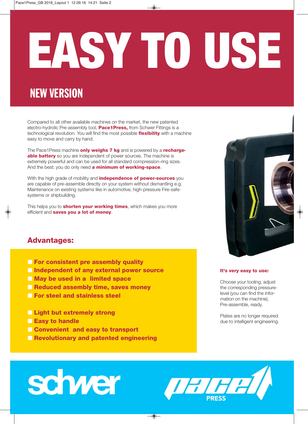# **EASY TO USE**

## NEW VERSION

Compared to all other available machines on the market, the new patented electro- hydrolic Pre-assembly tool, **Pace1Press,** from Schwer Fittings is a technological revolution. You will find the most possible **flexibility** with a machine easy to move and carry by hand.

The Pace1Press machine **only weighs 7 kg** and is powered by a **rechargeable battery** so you are independent of power sources. The machine is extremely powerful and can be used for all standard compression-ring sizes. And the best: you do only need **a minimum of working-space**.

With the high grade of mobility and **independence of power-sources** you are capable of pre-assemble directly on your system without dismantling e.g. Maintenance on existing systems like in automotive, high-pressure Fire-safesystems or shipbuilding.

This helps you to **shorten your working times**, which makes you more efficient and **saves you a lot of money**.

## **Advantages:**

- **For consistent pre assembly quality**
- **Independent of any external power source**
- **May be used in a limited space**
- **Reduced assembly time, saves money**
- **For steel and stainless steel**
- **Light but extremely strong**
- **Easy to handle**
- **Ex Convenient and easy to transport**
- **Revolutionary and patented engineering**

## **It's very easy to use:**

Choose your tooling, adjust the corresponding pressurelevel (you can find the information on the machine), Pre-assemble, ready.

Plates are no longer required due to intelligent engineering.

## schwer

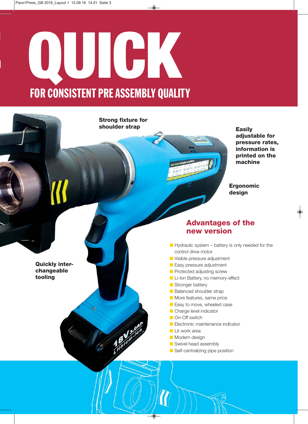## **E QUICK** FOR CONSISTENT PRE ASSEMBLY QUALITY

**Strong fixture for shoulder strap**

**Easily adjustable for pressure rates, information is printed on the machine**

**Ergonomic design**

## **Advantages of the new version**

- $\blacksquare$  Hydraulic system battery is only needed for the control drive motor
- **U** Visible pressure adjustment
- **E** Easy pressure adjustment
- **Protected adjusting screw**
- **Li-Ion Battery, no memory-effect**
- **B** Stronger battery
- **Balanced shoulder strap**
- **Nore features, same price**
- **E** Easy to move, wheeled case
- **Charge level indicator**
- **On-Off switch**
- **E** Electronic maintenance indicator
- **Lit work area**
- **Nodern design**
- **Swivel head assembly**
- **Self-centralizing pipe position**

**Quickly interchangeable tooling**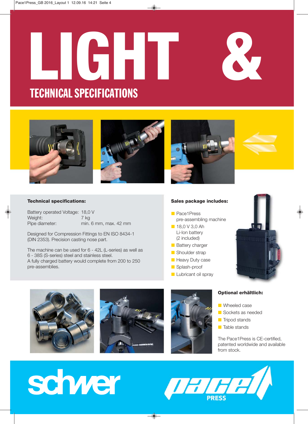## **LIGHT &** TECHNICAL SPECIFICATIONS





## **Technical specifications:**

| Battery operated Voltage: 18,0 V |                       |
|----------------------------------|-----------------------|
| Weight:                          | 7 ka                  |
| Pipe diameter:                   | min. 6 mm, max. 42 mm |

Designed for Compression Fittings to EN ISO 8434-1 (DIN 2353). Precision casting nose part.

The machine can be used for 6 - 42L (L-series) as well as 6 - 38S (S-series) steel and stainless steel. A fully charged battery would complete from 200 to 250 pre-assemblies.

## **Sales package includes:**

- **Pace1Press** pre-assembling machine
- 18,0 V 3,0 Ah Li-Ion battery (2 included)
- **Battery charger**
- **B** Shoulder strap
- **Heavy Duty case**
- **B** Splash-proof
- **Lubricant oil spray**









## **Optional erhältlich:**

- **N** Wheeled case
- **B** Sockets as needed
- **Tripod stands**
- **Table stands**

The Pace1Press is CE-certified, patented worldwide and available from stock.



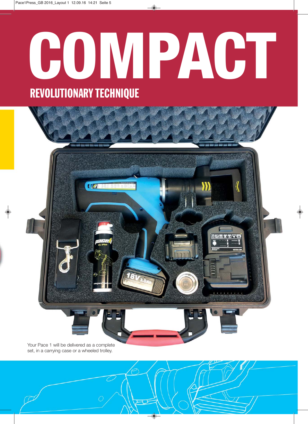# COMPACT REVOLUTIONARY TECHNIQUE



set, in a carrying case or a wheeled trolley.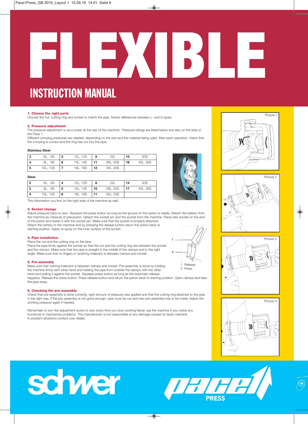# **FLEXIBLE**

## INSTRUCTION MANUAL

## **1. Choose the right parts**

Choose the nut, cutting ring and socket to match the pipe. Notice differences between L- and S-types.

## **2. Pressure adjustment**

The pressure adjustment is via a screw at the rear of the machine. Pressure ratings are listed below and also on the side of the Pace 1.

Different crimping pressures are needed, depending on the size and the material being used. After each operation, check that the crimping is correct and the ring has cut into the pipe.

## **Stainless Steel**

| -3 | 6L, 6S   | 5 | 12L, 12S | 9  | 22L      | 15 | 30S      |
|----|----------|---|----------|----|----------|----|----------|
| 4  | 8L, 8S   | 6 | 15L, 14S | 11 | 28L, 20S | 18 | 42L, 38S |
| -5 | 10L, 10S |   | 18L, 16S | 12 | 35L, 25S |    |          |

## **Steel**

|     | 6L, 6S   | -4 | 12L, 12S      | 8 | 22L      | 14  | 30S      |
|-----|----------|----|---------------|---|----------|-----|----------|
| ∣3  | 8L, 8S   | 5  | 15L, 14S   10 |   | 28L, 20S | -17 | 42L, 38S |
| ∣ 4 | 10L, 10S | 6  | 18L, 16S 11   |   | 35L, 25S |     |          |

This information you find on the right side of the machine as well.

## **3. Socket change**

Adjust pressure back to zero. Squeeze the press button as long as the groove on the piston is visible. Detach the battery from the machine as measure of precaution. Detach the socket pin and the socket from the machine. Place new socket on the end of the piston and fasten it with the socket pin. Make sure that the socket is properly attached. Attach the battery to the machine and by pressing the release button return the piston back to

starting position. Apply oil spray on the inner surface of the socket.

## **4. Pipe installation**

Place the nut and the cutting ring on the pipe. Place the pipe firmly against the socket so that the nut and the cutting ring are between the socket and the clamps. Make sure that the pipe is straight in the middle of the clamps and in the right angle. Make sure that no fingers or anything irrelevant is between clamps and socket.

## **5. Pre-assembly**

Make sure that nothing irrelevant is between clamps and socket. Pre-assembly is done by holding the machine firmly with other hand and holding the pipe from outside the clamps with the other hand and pulling it against the socket. Squeeze press button as long as the automatic release

happens. Release the press button. Press release button and return the piston back to starting position. Open clamps and take the pipe away.

## **6. Checking the pre-assembly**

Check that pre-assembly is done correctly, right amount of pressure was applied and that the cutting ring attached to the pipe in the right way. If the pre-assembly is not good enough, pipe must be cut and new pre-assembly has to be made. Adjust the working pressure again if needed.

Remember to turn the adjustment screw to zero every time you stop working.Never use the machine if you notice any functional or mechanical problems. The manufacturer is not responsible of any damage caused by faulty machine. In problem situations contact your dealer.









## schwer

# **IHHH**



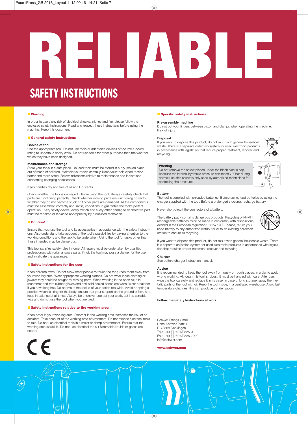# **RELIABLE**

## SAFETY INSTRUCTIONS

## ■ Warning!

In order to avoid any risk of electrical shocks, injuries and fire, please follow the enclosed safety instructions. Read and respect these instructions before using the machine. Keep this document.

## **E** General safety instructions

## **Choice of tool**

Use the appropriate tool. Do not use tools or adaptable devices of too low a power rating to undertake heavy work. Do not use tools for other purposes than the work for which they have been designed.

## **Maintenance and storage**

Store your tools in a safe place. Unused tools must be stored in a dry, locked place, out of reach of children. Maintain your tools carefully. Keep your tools clean to work better and more safely. Follow indications relative to maintenance and indications concerning changing accessories.

Keep handles dry and free of oil and lubricants.

Check whether the tool is damaged. Before using the tool, always carefully check that parts are functioning perfectly. Check whether moving parts are functioning correctly, whether they do not become stuck or if other parts are damaged. All the components must be assembled correctly and satisfy conditions to guarantee the tool's perfect operation. Every safety device, every switch and every other damaged or defective part must be repaired or replaced appropriately by a qualified technician.

## $\blacksquare$  Coution!

 $\bigcirc$ 

Ensure that you use the tool and its accessories in accordance with the safety instructions. Also understand take account of the tool's possibilities by paying attention to the working conditions and the task to be undertaken. Using the tool for tasks other than those intended may be dangerous.

This tool satisfies safety rules in force. All repairs must be undertaken by qualified professionals with original spare parts; if not, the tool may pose a danger for the user and invalidate the guarantee.

## **Example 3 Safety instructions for the user**

Keep children away. Do not allow other people to touch the tool; keep them away from your working area. Wear appropriate working clothes. Do not wear loose clothing or jewels; they could be caught by moving parts. When working in the open air, it is recommended that rubber gloves and anti-skid heeled shoes are worn. Wear a hair net if you have long hair. Do not make the radius of your action too wide. Avoid adopting a position which is tiring for the body; ensure that your support on the ground is firm, and keep in balance at all times. Always be attentive. Look at your work, act in a sensible way and do not use the tool when you are tired.

## **Example 3 Safety instructions relative to the working area**

Keep order in your working area. Disorder in the working area increases the risk of an accident. Take account of the working area environment. Do not expose electrical tools to rain. Do not use electrical tools in a moist or damp environment. Ensure that the working area is well-lit. Do not use electrical tools if flammable liquids or gases are nearby.



## **E** Specific safety instructions

## **Pre-assembly machine**

Do not put your fingers between piston and clamps when operating the machine. Risk of injury.

## **Disposal**

If you want to dispose this product, do not mix it with general household waste. There is a separate collection system for used electronic products in accordance with legislation that require proper treatment, recover and recycling.



## **Warning**

Do not remove the screw placed under the black plastic cap, because the internal hydraulic pressure can reach 700bar during normal use (this screw is only used by authorized technicians for controlling the pressure)

## **Battery**

The tool is supplied with unloaded batteries. Before using, load batteries by using the charger supplied with the tool. Before a prolonged stocking, recharge battery.

Never short-circuit the connectors of a battery.

The battery pack contains dangerous products. Recycling of Ni-MH rechargeable batteries must be made in conformity with dispositions defined in the European regulation 91/157/CEE. Please, return your used battery to any authorized distributor or to an existing collection station to ensure its recycling.



If you want to dispose this product, do not mix it with general household waste. There is a separate collection system for used electronic products in accordance with legislation that requires proper treatment, recover and recycling.

## **Charger**

See battery charger instruction manual.

## **Advice**

It is recommended to keep the tool away from dusty or rough places, in order to avoid wrong working. Although this tool is robust, it must be handled with care. After use, wipe the tool carefully and replace it in its case. In case of long storage, spray the metallic parts of the tool with oil. Keep the tool inside, in a ventilated warehouse. Avoid fast temperature changes, this can produce condensation.

## **Follow the Safety Instructions at work.**

Schwer Fittings GmbH Hans-Schwer-Platz 1 D-78588 Denkingen Tel.: +49 (0)7424/9825-0 Fax: +49 (0)7424/9825-7900 info@schwer.com

## **www.schwer.com**